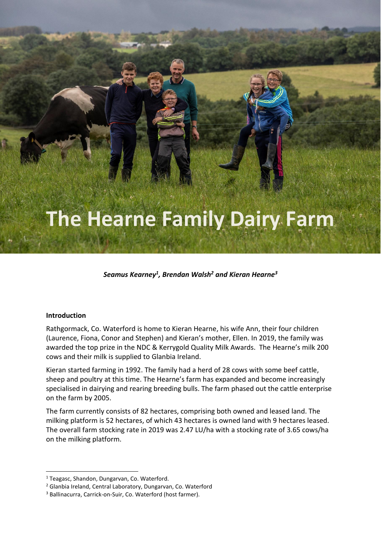# **The Hearne Family Dairy Farm**

*Seamus Kearney<sup>1</sup> , Brendan Walsh<sup>2</sup> and Kieran Hearne<sup>3</sup>*

#### **Introduction**

Rathgormack, Co. Waterford is home to Kieran Hearne, his wife Ann, their four children (Laurence, Fiona, Conor and Stephen) and Kieran's mother, Ellen. In 2019, the family was awarded the top prize in the NDC & Kerrygold Quality Milk Awards. The Hearne's milk 200 cows and their milk is supplied to Glanbia Ireland.

Kieran started farming in 1992. The family had a herd of 28 cows with some beef cattle, sheep and poultry at this time. The Hearne's farm has expanded and become increasingly specialised in dairying and rearing breeding bulls. The farm phased out the cattle enterprise on the farm by 2005.

The farm currently consists of 82 hectares, comprising both owned and leased land. The milking platform is 52 hectares, of which 43 hectares is owned land with 9 hectares leased. The overall farm stocking rate in 2019 was 2.47 LU/ha with a stocking rate of 3.65 cows/ha on the milking platform.

<sup>&</sup>lt;sup>1</sup> Teagasc, Shandon, Dungarvan, Co. Waterford.

<sup>2</sup> Glanbia Ireland, Central Laboratory, Dungarvan, Co. Waterford

<sup>&</sup>lt;sup>3</sup> Ballinacurra, Carrick-on-Suir, Co. Waterford (host farmer).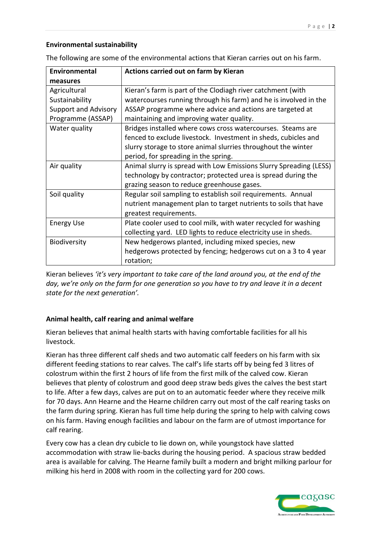## **Environmental sustainability**

| Environmental               | Actions carried out on farm by Kieran                              |  |  |  |  |
|-----------------------------|--------------------------------------------------------------------|--|--|--|--|
| measures                    |                                                                    |  |  |  |  |
| Agricultural                | Kieran's farm is part of the Clodiagh river catchment (with        |  |  |  |  |
| Sustainability              | watercourses running through his farm) and he is involved in the   |  |  |  |  |
| <b>Support and Advisory</b> | ASSAP programme where advice and actions are targeted at           |  |  |  |  |
| Programme (ASSAP)           | maintaining and improving water quality.                           |  |  |  |  |
| Water quality               | Bridges installed where cows cross watercourses. Steams are        |  |  |  |  |
|                             | fenced to exclude livestock. Investment in sheds, cubicles and     |  |  |  |  |
|                             | slurry storage to store animal slurries throughout the winter      |  |  |  |  |
|                             | period, for spreading in the spring.                               |  |  |  |  |
| Air quality                 | Animal slurry is spread with Low Emissions Slurry Spreading (LESS) |  |  |  |  |
|                             | technology by contractor; protected urea is spread during the      |  |  |  |  |
|                             | grazing season to reduce greenhouse gases.                         |  |  |  |  |
| Soil quality                | Regular soil sampling to establish soil requirements. Annual       |  |  |  |  |
|                             | nutrient management plan to target nutrients to soils that have    |  |  |  |  |
|                             | greatest requirements.                                             |  |  |  |  |
| <b>Energy Use</b>           | Plate cooler used to cool milk, with water recycled for washing    |  |  |  |  |
|                             | collecting yard. LED lights to reduce electricity use in sheds.    |  |  |  |  |
| Biodiversity                | New hedgerows planted, including mixed species, new                |  |  |  |  |
|                             | hedgerows protected by fencing; hedgerows cut on a 3 to 4 year     |  |  |  |  |
|                             | rotation;                                                          |  |  |  |  |

The following are some of the environmental actions that Kieran carries out on his farm.

Kieran believes *'it's very important to take care of the land around you, at the end of the day, we're only on the farm for one generation so you have to try and leave it in a decent state for the next generation'.*

## **Animal health, calf rearing and animal welfare**

Kieran believes that animal health starts with having comfortable facilities for all his livestock.

Kieran has three different calf sheds and two automatic calf feeders on his farm with six different feeding stations to rear calves. The calf's life starts off by being fed 3 litres of colostrum within the first 2 hours of life from the first milk of the calved cow. Kieran believes that plenty of colostrum and good deep straw beds gives the calves the best start to life. After a few days, calves are put on to an automatic feeder where they receive milk for 70 days. Ann Hearne and the Hearne children carry out most of the calf rearing tasks on the farm during spring. Kieran has full time help during the spring to help with calving cows on his farm. Having enough facilities and labour on the farm are of utmost importance for calf rearing.

Every cow has a clean dry cubicle to lie down on, while youngstock have slatted accommodation with straw lie-backs during the housing period. A spacious straw bedded area is available for calving. The Hearne family built a modern and bright milking parlour for milking his herd in 2008 with room in the collecting yard for 200 cows.

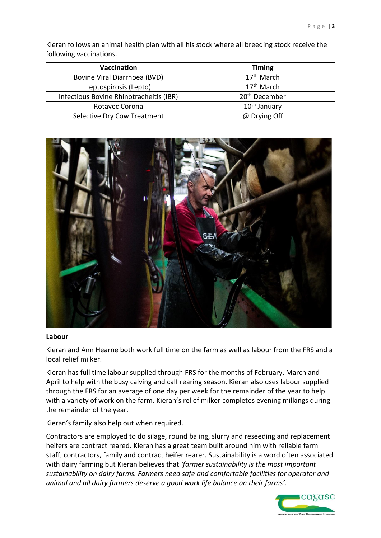Kieran follows an animal health plan with all his stock where all breeding stock receive the following vaccinations.

| Vaccination                             | <b>Timing</b>             |  |  |
|-----------------------------------------|---------------------------|--|--|
| Bovine Viral Diarrhoea (BVD)            | 17 <sup>th</sup> March    |  |  |
| Leptospirosis (Lepto)                   | 17 <sup>th</sup> March    |  |  |
| Infectious Bovine Rhinotracheitis (IBR) | 20 <sup>th</sup> December |  |  |
| Rotavec Corona                          | 10 <sup>th</sup> January  |  |  |
| Selective Dry Cow Treatment             | @ Drying Off              |  |  |



#### **Labour**

Kieran and Ann Hearne both work full time on the farm as well as labour from the FRS and a local relief milker.

Kieran has full time labour supplied through FRS for the months of February, March and April to help with the busy calving and calf rearing season. Kieran also uses labour supplied through the FRS for an average of one day per week for the remainder of the year to help with a variety of work on the farm. Kieran's relief milker completes evening milkings during the remainder of the year.

Kieran's family also help out when required.

Contractors are employed to do silage, round baling, slurry and reseeding and replacement heifers are contract reared. Kieran has a great team built around him with reliable farm staff, contractors, family and contract heifer rearer. Sustainability is a word often associated with dairy farming but Kieran believes that *'farmer sustainability is the most important sustainability on dairy farms. Farmers need safe and comfortable facilities for operator and animal and all dairy farmers deserve a good work life balance on their farms'.* 

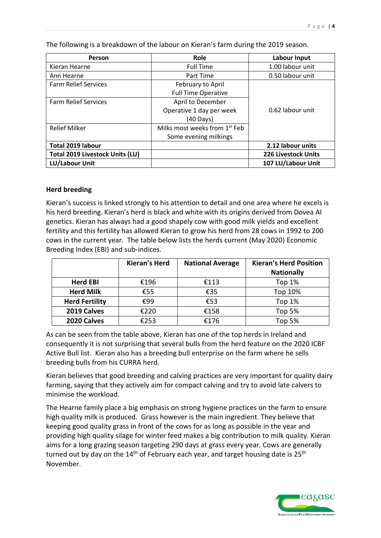**Person Role Labour Input** Kieran Hearne Full Time Full Time 1.00 labour unit Ann Hearne Part Time 0.50 labour unit Farm Relief Services February to April Full Time Operative 0.62 labour unit Farm Relief Services **April to December** Operative 1 day per week (40 Days) Relief Milker Milks most weeks from 1<sup>st</sup> Feb Some evening milkings **Total 2019 labour 2.12 labour units Total 2019 Livestock Units (LU) 226 Livestock Units LU/Labour Unit 107 LU/Labour Unit**

The following is a breakdown of the labour on Kieran's farm during the 2019 season.

### **Herd breeding**

Kieran's success is linked strongly to his attention to detail and one area where he excels is his herd breeding. Kieran's herd is black and white with its origins derived from Dovea AI genetics. Kieran has always had a good shapely cow with good milk yields and excellent fertility and this fertility has allowed Kieran to grow his herd from 28 cows in 1992 to 200 cows in the current year. The table below lists the herds current (May 2020) Economic Breeding Index (EBI) and sub-indices.

|                       | <b>Kieran's Herd</b> | <b>National Average</b> | <b>Kieran's Herd Position</b> |  |
|-----------------------|----------------------|-------------------------|-------------------------------|--|
|                       |                      |                         | <b>Nationally</b>             |  |
| <b>Herd EBI</b>       | €196                 | €113                    | Top $1%$                      |  |
| <b>Herd Milk</b>      | €55                  | €35                     | Top 10%                       |  |
| <b>Herd Fertility</b> | €99                  | €53                     | Top $1%$                      |  |
| 2019 Calves           | €220                 | €158                    | <b>Top 5%</b>                 |  |
| 2020 Calves           | €253                 | €176                    | Top 5%                        |  |

As can be seen from the table above, Kieran has one of the top herds in Ireland and consequently it is not surprising that several bulls from the herd feature on the 2020 ICBF Active Bull list. Kieran also has a breeding bull enterprise on the farm where he sells breeding bulls from his CURRA herd.

Kieran believes that good breeding and calving practices are very important for quality dairy farming, saying that they actively aim for compact calving and try to avoid late calvers to minimise the workload.

The Hearne family place a big emphasis on strong hygiene practices on the farm to ensure high quality milk is produced. Grass however is the main ingredient. They believe that keeping good quality grass in front of the cows for as long as possible in the year and providing high quality silage for winter feed makes a big contribution to milk quality. Kieran aims for a long grazing season targeting 290 days at grass every year. Cows are generally turned out by day on the  $14<sup>th</sup>$  of February each year, and target housing date is 25<sup>th</sup> November.

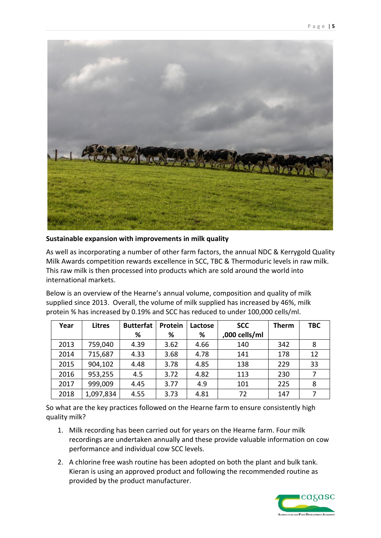

**Sustainable expansion with improvements in milk quality**

As well as incorporating a number of other farm factors, the annual NDC & Kerrygold Quality Milk Awards competition rewards excellence in SCC, TBC & Thermoduric levels in raw milk. This raw milk is then processed into products which are sold around the world into international markets.

Below is an overview of the Hearne's annual volume, composition and quality of milk supplied since 2013. Overall, the volume of milk supplied has increased by 46%, milk protein % has increased by 0.19% and SCC has reduced to under 100,000 cells/ml.

| Year | <b>Litres</b> | <b>Butterfat</b> | Protein | Lactose | <b>SCC</b>    | <b>Therm</b> | <b>TBC</b> |
|------|---------------|------------------|---------|---------|---------------|--------------|------------|
|      |               | %                | %       | %       | ,000 cells/ml |              |            |
| 2013 | 759,040       | 4.39             | 3.62    | 4.66    | 140           | 342          | 8          |
| 2014 | 715,687       | 4.33             | 3.68    | 4.78    | 141           | 178          | 12         |
| 2015 | 904,102       | 4.48             | 3.78    | 4.85    | 138           | 229          | 33         |
| 2016 | 953,255       | 4.5              | 3.72    | 4.82    | 113           | 230          | 7          |
| 2017 | 999,009       | 4.45             | 3.77    | 4.9     | 101           | 225          | 8          |
| 2018 | 1,097,834     | 4.55             | 3.73    | 4.81    | 72            | 147          | 7          |

So what are the key practices followed on the Hearne farm to ensure consistently high quality milk?

- 1. Milk recording has been carried out for years on the Hearne farm. Four milk recordings are undertaken annually and these provide valuable information on cow performance and individual cow SCC levels.
- 2. A chlorine free wash routine has been adopted on both the plant and bulk tank. Kieran is using an approved product and following the recommended routine as provided by the product manufacturer.